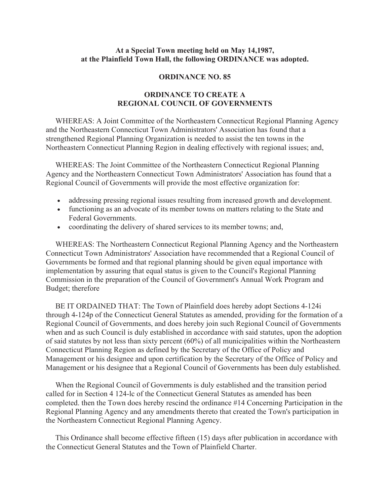## **At a Special Town meeting held on May 14,1987, at the Plainfield Town Hall, the following ORDINANCE was adopted.**

## **ORDINANCE NO. 85**

## **ORDINANCE TO CREATE A REGIONAL COUNCIL OF GOVERNMENTS**

 WHEREAS: A Joint Committee of the Northeastern Connecticut Regional Planning Agency and the Northeastern Connecticut Town Administrators' Association has found that a strengthened Regional Planning Organization is needed to assist the ten towns in the Northeastern Connecticut Planning Region in dealing effectively with regional issues; and,

 WHEREAS: The Joint Committee of the Northeastern Connecticut Regional Planning Agency and the Northeastern Connecticut Town Administrators' Association has found that a Regional Council of Governments will provide the most effective organization for:

- x addressing pressing regional issues resulting from increased growth and development.
- functioning as an advocate of its member towns on matters relating to the State and Federal Governments.
- coordinating the delivery of shared services to its member towns; and,

 WHEREAS: The Northeastern Connecticut Regional Planning Agency and the Northeastern Connecticut Town Administrators' Association have recommended that a Regional Council of Governments be formed and that regional planning should be given equal importance with implementation by assuring that equal status is given to the Council's Regional Planning Commission in the preparation of the Council of Government's Annual Work Program and Budget; therefore

 BE IT ORDAINED THAT: The Town of Plainfield does hereby adopt Sections 4-124i through 4-124p of the Connecticut General Statutes as amended, providing for the formation of a Regional Council of Governments, and does hereby join such Regional Council of Governments when and as such Council is duly established in accordance with said statutes, upon the adoption of said statutes by not less than sixty percent (60%) of all municipalities within the Northeastern Connecticut Planning Region as defined by the Secretary of the Office of Policy and Management or his designee and upon certification by the Secretary of the Office of Policy and Management or his designee that a Regional Council of Governments has been duly established.

 When the Regional Council of Governments is duly established and the transition period called for in Section 4 124-lc of the Connecticut General Statutes as amended has been completed. then the Town does hereby rescind the ordinance #14 Concerning Participation in the Regional Planning Agency and any amendments thereto that created the Town's participation in the Northeastern Connecticut Regional Planning Agency.

 This Ordinance shall become effective fifteen (15) days after publication in accordance with the Connecticut General Statutes and the Town of Plainfield Charter.